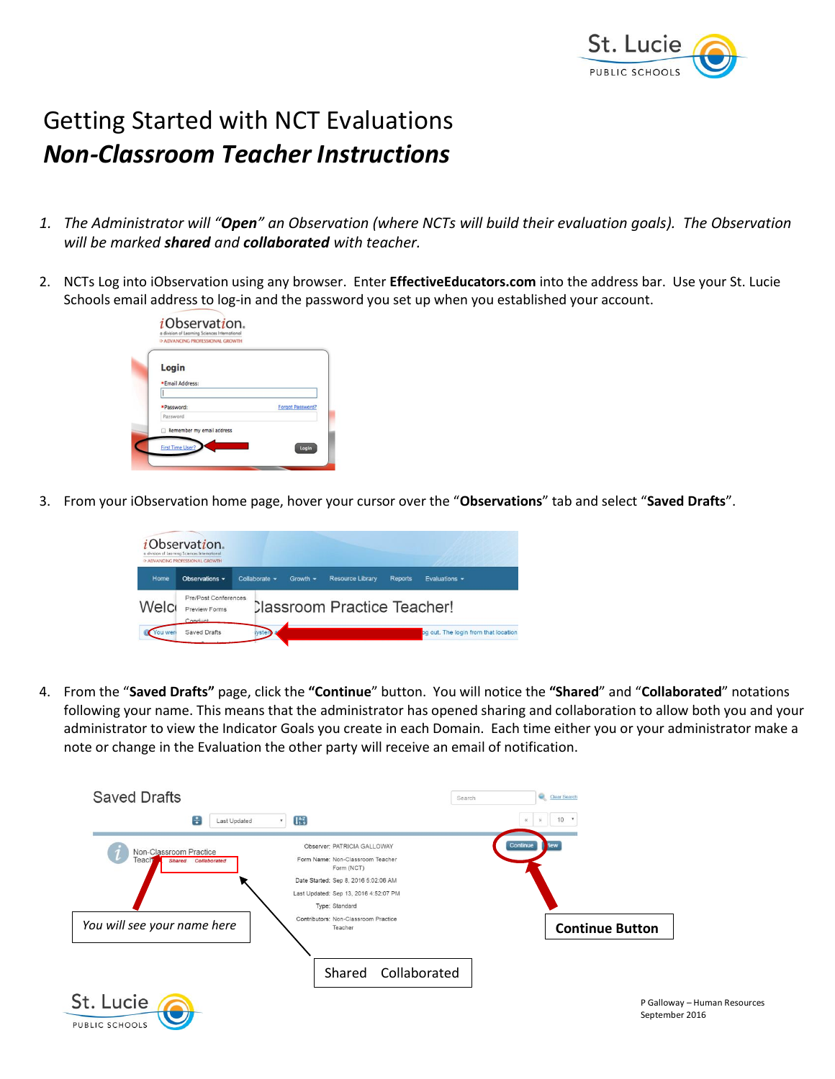

## Getting Started with NCT Evaluations *Non-Classroom Teacher Instructions*

- *1. The Administrator will "Open" an Observation (where NCTs will build their evaluation goals). The Observation will be marked shared and collaborated with teacher.*
- 2. NCTs Log into iObservation using any browser. Enter **EffectiveEducators.com** into the address bar. Use your St. Lucie Schools email address to log-in and the password you set up when you established your account.

| Login           |                  |
|-----------------|------------------|
| *Email Address: |                  |
|                 |                  |
| *Password:      | Forgot Password? |
| Password        |                  |

PUBLIC SCHOOLS

3. From your iObservation home page, hover your cursor over the "**Observations**" tab and select "**Saved Drafts**".

|        | <i>i</i> Observation.<br>a division of Learning Sciences International<br>I> ADVANCING PROFESSIONAL GROWTH |                                    |          |                         |                |                                      |
|--------|------------------------------------------------------------------------------------------------------------|------------------------------------|----------|-------------------------|----------------|--------------------------------------|
| Home   | Observations -                                                                                             | Collaborate +                      | Growth - | <b>Resource Library</b> | <b>Reports</b> | Evaluations -                        |
| Welc   | Pre/Post Conferences<br>Preview Forms<br>Conduct                                                           | <b>Classroom Practice Teacher!</b> |          |                         |                |                                      |
| ou wer | Saved Drafts                                                                                               | vster                              |          |                         |                | og out. The login from that location |

4. From the "**Saved Drafts"** page, click the **"Continue**" button. You will notice the **"Shared**" and "**Collaborated**" notations following your name. This means that the administrator has opened sharing and collaboration to allow both you and your administrator to view the Indicator Goals you create in each Domain. Each time either you or your administrator make a note or change in the Evaluation the other party will receive an email of notification.



P Galloway – Human Resources September 2016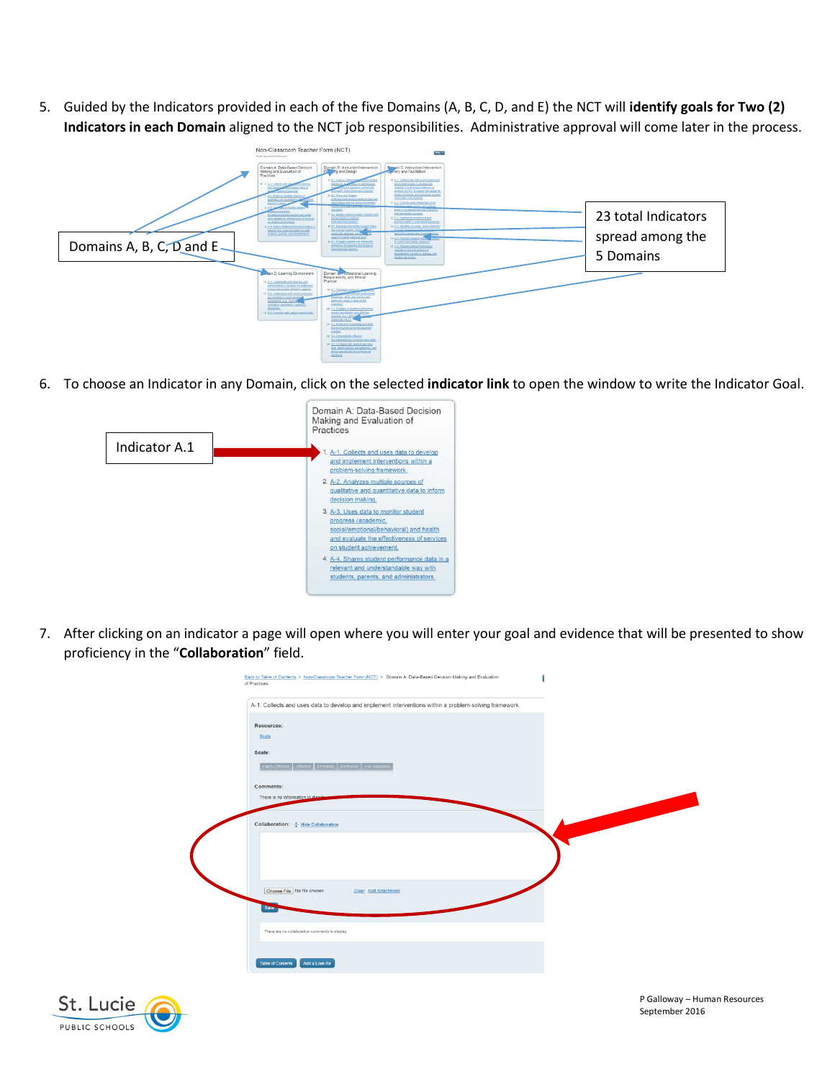5. Guided by the Indicators provided in each of the five Domains (A, B, C, D, and E) the NCT will **identify goals for Two (2) Indicators in each Domain** aligned to the NCT job responsibilities. Administrative approval will come later in the process.



6. To choose an Indicator in any Domain, click on the selected **indicator link** to open the window to write the Indicator Goal.

|               | Domain A: Data-Based Decision<br>Making and Evaluation of<br>Practices                                                                                    |
|---------------|-----------------------------------------------------------------------------------------------------------------------------------------------------------|
| Indicator A.1 | 1. A-1. Collects and uses data to develop<br>and implement interventions within a                                                                         |
|               | problem-solving framework.<br>2. A-2. Analyzes multiple sources of<br>qualitative and quantitative data to inform<br>decision making.                     |
|               | 3. A-3. Uses data to monitor student<br>progress (academic.<br>social/emotional/behavioral) and health<br>and evaluate the effectiveness of services      |
|               | on student achievement.<br>4. A-4. Shares student performance data in a<br>relevant and understandable way with<br>students, parents, and administrators, |

7. After clicking on an indicator a page will open where you will enter your goal and evidence that will be presented to show proficiency in the "**Collaboration**" field.

| Back to Table of Contents > Non-Classroom Teacher Form (NCT) > Domain A: Data-Based Decision Making and Evaluation<br>of Practices |  |
|------------------------------------------------------------------------------------------------------------------------------------|--|
| A-1. Collects and uses data to develop and implement interventions within a problem-solving framework.                             |  |
| Resources:<br>Scale                                                                                                                |  |
| Scale:<br>Highly Effective Effective Emerging Institutive Not Applicable                                                           |  |
| Comments:<br>There is no information to display                                                                                    |  |
| Collaboration: + Hide Collaboration                                                                                                |  |
| Choose File No file chosen<br>Clear Add Attachment<br>Save                                                                         |  |
| There are no collaboration comments to display.                                                                                    |  |
| <b>Table of Contents</b><br>Add a Look-for                                                                                         |  |



P Galloway – Human Resources September 2016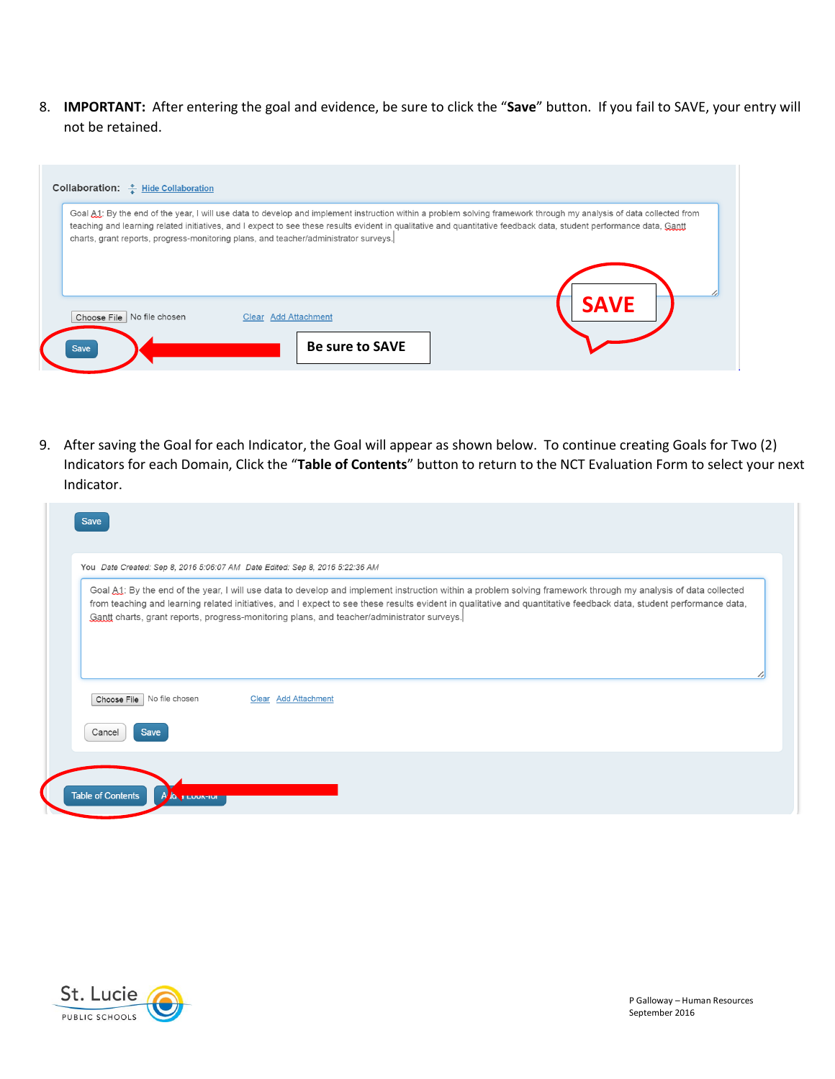8. **IMPORTANT:** After entering the goal and evidence, be sure to click the "**Save**" button. If you fail to SAVE, your entry will not be retained.

|                                      | Goal A1: By the end of the year, I will use data to develop and implement instruction within a problem solving framework through my analysis of data collected from<br>teaching and learning related initiatives, and I expect to see these results evident in qualitative and quantitative feedback data, student performance data, Gantt<br>charts, grant reports, progress-monitoring plans, and teacher/administrator surveys. |             |
|--------------------------------------|------------------------------------------------------------------------------------------------------------------------------------------------------------------------------------------------------------------------------------------------------------------------------------------------------------------------------------------------------------------------------------------------------------------------------------|-------------|
| Choose File   No file chosen<br>Save | Clear Add Attachment<br><b>Be sure to SAVE</b>                                                                                                                                                                                                                                                                                                                                                                                     | <b>SAVE</b> |

9. After saving the Goal for each Indicator, the Goal will appear as shown below. To continue creating Goals for Two (2) Indicators for each Domain, Click the "**Table of Contents**" button to return to the NCT Evaluation Form to select your next Indicator.

|        | You Date Created: Sep 8, 2016 5:06:07 AM Date Edited: Sep 8, 2016 5:22:36 AM                                                                                                                                                                                                                                                                                                                                                       |  |
|--------|------------------------------------------------------------------------------------------------------------------------------------------------------------------------------------------------------------------------------------------------------------------------------------------------------------------------------------------------------------------------------------------------------------------------------------|--|
|        | Goal A1: By the end of the year, I will use data to develop and implement instruction within a problem solving framework through my analysis of data collected<br>from teaching and learning related initiatives, and I expect to see these results evident in qualitative and quantitative feedback data, student performance data,<br>Gantt charts, grant reports, progress-monitoring plans, and teacher/administrator surveys. |  |
|        | Choose File   No file chosen<br>Clear Add Attachment                                                                                                                                                                                                                                                                                                                                                                               |  |
| Cancel | Save                                                                                                                                                                                                                                                                                                                                                                                                                               |  |

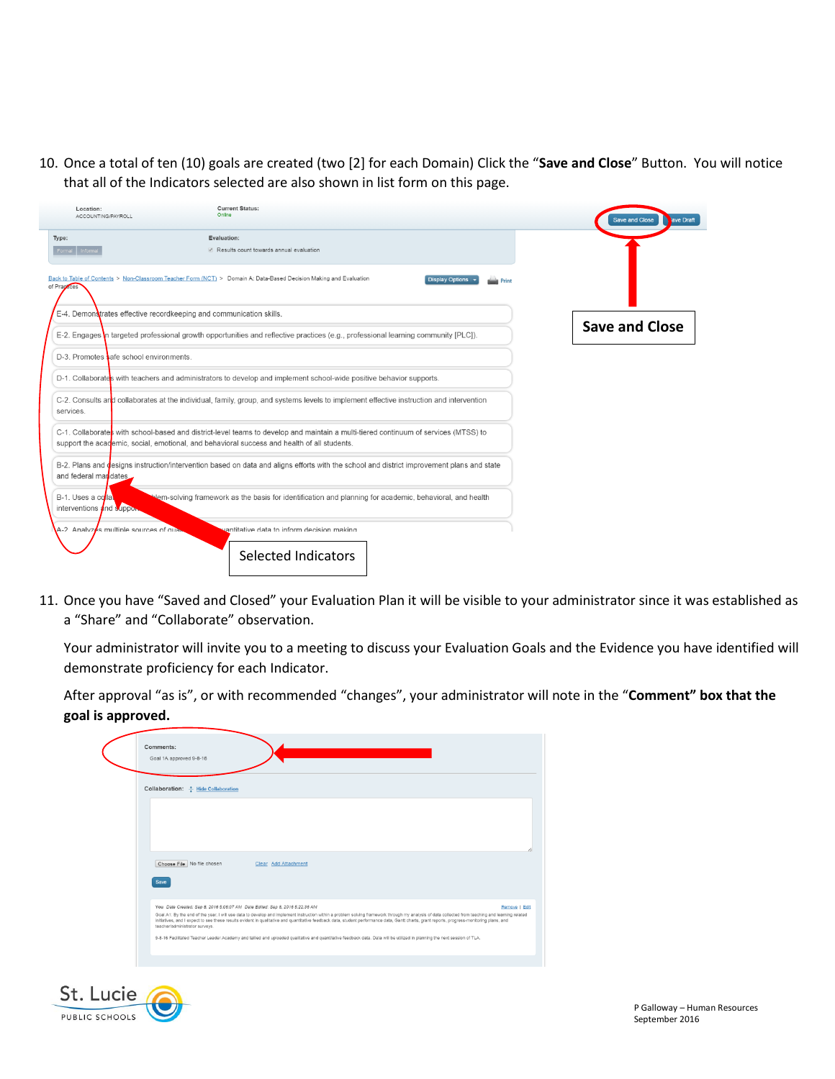10. Once a total of ten (10) goals are created (two [2] for each Domain) Click the "**Save and Close**" Button. You will notice that all of the Indicators selected are also shown in list form on this page.



11. Once you have "Saved and Closed" your Evaluation Plan it will be visible to your administrator since it was established as a "Share" and "Collaborate" observation.

Your administrator will invite you to a meeting to discuss your Evaluation Goals and the Evidence you have identified will demonstrate proficiency for each Indicator.

After approval "as is", or with recommended "changes", your administrator will note in the "**Comment" box that the goal is approved.**

| Comments:<br>Goal 1A approved 9-8-16                                                                                                                                                                                                                                                                                                                                                                                                                                                                                                                                                                                                                                                                             |
|------------------------------------------------------------------------------------------------------------------------------------------------------------------------------------------------------------------------------------------------------------------------------------------------------------------------------------------------------------------------------------------------------------------------------------------------------------------------------------------------------------------------------------------------------------------------------------------------------------------------------------------------------------------------------------------------------------------|
| Collaboration: $\frac{4}{5}$ Hide Collaboration                                                                                                                                                                                                                                                                                                                                                                                                                                                                                                                                                                                                                                                                  |
|                                                                                                                                                                                                                                                                                                                                                                                                                                                                                                                                                                                                                                                                                                                  |
| Choose File No file chosen<br>Clear Add Attachment<br>Save                                                                                                                                                                                                                                                                                                                                                                                                                                                                                                                                                                                                                                                       |
| You Date Created: Sep 8, 2016 5:06:07 AM Date Edited: Sep 8, 2016 5:22:36 AM<br>Remove   Edit<br>Goal A1: By the end of the year, I will use data to develop and implement instruction within a problem solving framework through my analysis of data collected from teaching and learning related<br>initiatives, and I expect to see these results evident in qualitative and quantitative feedback data, student performance data, Gantt charts, grant reports, progress-monitoring plans, and<br>teacher/administrator surveys.<br>9-8-16 Facilitated Teacher Leader Academy and tailied and uploaded qualitative and quantitative feedback data. Data will be utilized in planning the next session of TLA. |
|                                                                                                                                                                                                                                                                                                                                                                                                                                                                                                                                                                                                                                                                                                                  |